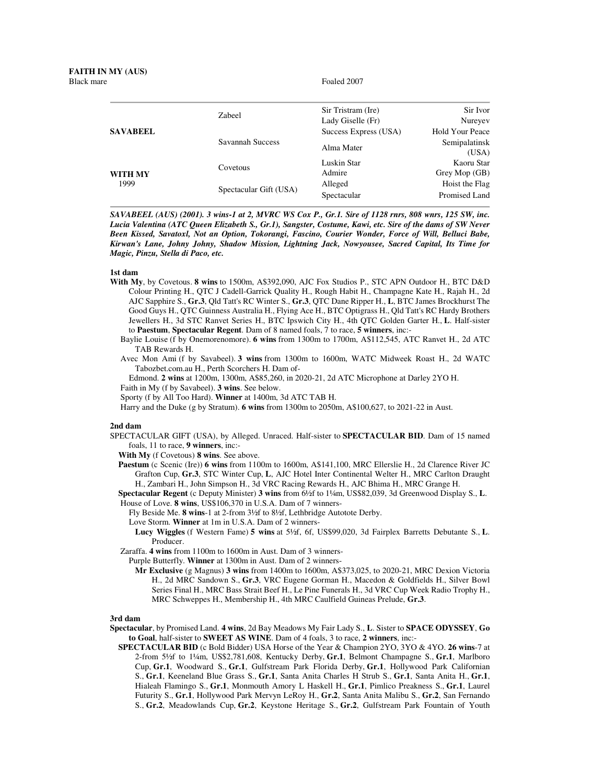Foaled 2007

| <b>SAVABEEL</b> | Zabeel                 | Sir Tristram (Ire)    | Sir Ivor               |
|-----------------|------------------------|-----------------------|------------------------|
|                 |                        | Lady Giselle (Fr)     | Nureyev                |
|                 | Savannah Success       | Success Express (USA) | Hold Your Peace        |
|                 |                        | Alma Mater            | Semipalatinsk<br>(USA) |
| WITH MY<br>1999 | Covetous               | Luskin Star           | Kaoru Star             |
|                 |                        | Admire                | Grey Mop (GB)          |
|                 | Spectacular Gift (USA) | Alleged               | Hoist the Flag         |
|                 |                        | Spectacular           | Promised Land          |
|                 |                        |                       |                        |

*SAVABEEL (AUS) (2001). 3 wins-1 at 2, MVRC WS Cox P., Gr.1. Sire of 1128 rnrs, 808 wnrs, 125 SW, inc. Lucia Valentina (ATC Queen Elizabeth S., Gr.1), Sangster, Costume, Kawi, etc. Sire of the dams of SW Never Been Kissed, Savatoxl, Not an Option, Tokorangi, Fascino, Courier Wonder, Force of Will, Belluci Babe, Kirwan's Lane, Johny Johny, Shadow Mission, Lightning Jack, Nowyousee, Sacred Capital, Its Time for Magic, Pinzu, Stella di Paco, etc.*

## **1st dam**

- **With My**, by Covetous. **8 wins** to 1500m, A\$392,090, AJC Fox Studios P., STC APN Outdoor H., BTC D&D Colour Printing H., QTC J Cadell-Garrick Quality H., Rough Habit H., Champagne Kate H., Rajah H., 2d AJC Sapphire S., **Gr.3**, Qld Tatt's RC Winter S., **Gr.3**, QTC Dane Ripper H., **L**, BTC James Brockhurst The Good Guys H., QTC Guinness Australia H., Flying Ace H., BTC Optigrass H., Qld Tatt's RC Hardy Brothers Jewellers H., 3d STC Ranvet Series H., BTC Ipswich City H., 4th QTC Golden Garter H., **L**. Half-sister to **Paestum**, **Spectacular Regent**. Dam of 8 named foals, 7 to race, **5 winners**, inc:-
	- Baylie Louise (f by Onemorenomore). **6 wins** from 1300m to 1700m, A\$112,545, ATC Ranvet H., 2d ATC TAB Rewards H.
	- Avec Mon Ami (f by Savabeel). **3 wins** from 1300m to 1600m, WATC Midweek Roast H., 2d WATC Tabozbet.com.au H., Perth Scorchers H. Dam of-

Edmond. **2 wins** at 1200m, 1300m, A\$85,260, in 2020-21, 2d ATC Microphone at Darley 2YO H.

- Faith in My (f by Savabeel). **3 wins**. See below.
- Sporty (f by All Too Hard). **Winner** at 1400m, 3d ATC TAB H.
- Harry and the Duke (g by Stratum). **6 wins** from 1300m to 2050m, A\$100,627, to 2021-22 in Aust.

## **2nd dam**

SPECTACULAR GIFT (USA), by Alleged. Unraced. Half-sister to **SPECTACULAR BID**. Dam of 15 named foals, 11 to race, **9 winners**, inc:-

**With My** (f Covetous) **8 wins**. See above.

**Paestum** (c Scenic (Ire)) **6 wins** from 1100m to 1600m, A\$141,100, MRC Ellerslie H., 2d Clarence River JC Grafton Cup, **Gr.3**, STC Winter Cup, **L**, AJC Hotel Inter Continental Welter H., MRC Carlton Draught H., Zambari H., John Simpson H., 3d VRC Racing Rewards H., AJC Bhima H., MRC Grange H.

**Spectacular Regent** (c Deputy Minister) **3 wins** from 6½f to 1¼m, US\$82,039, 3d Greenwood Display S., **L**. House of Love. **8 wins**, US\$106,370 in U.S.A. Dam of 7 winners-

Fly Beside Me. **8 wins**-1 at 2-from 3½f to 8½f, Lethbridge Autotote Derby.

Love Storm. **Winner** at 1m in U.S.A. Dam of 2 winners-

**Lucy Wiggles** (f Western Fame) **5 wins** at 5½f, 6f, US\$99,020, 3d Fairplex Barretts Debutante S., **L**. Producer.

Zaraffa. **4 wins** from 1100m to 1600m in Aust. Dam of 3 winners-

Purple Butterfly. **Winner** at 1300m in Aust. Dam of 2 winners-

**Mr Exclusive** (g Magnus) **3 wins** from 1400m to 1600m, A\$373,025, to 2020-21, MRC Dexion Victoria H., 2d MRC Sandown S., **Gr.3**, VRC Eugene Gorman H., Macedon & Goldfields H., Silver Bowl Series Final H., MRC Bass Strait Beef H., Le Pine Funerals H., 3d VRC Cup Week Radio Trophy H., MRC Schweppes H., Membership H., 4th MRC Caulfield Guineas Prelude, **Gr.3**.

## **3rd dam**

- **Spectacular**, by Promised Land. **4 wins**, 2d Bay Meadows My Fair Lady S., **L**. Sister to **SPACE ODYSSEY**, **Go to Goal**, half-sister to **SWEET AS WINE**. Dam of 4 foals, 3 to race, **2 winners**, inc:-
	- **SPECTACULAR BID** (c Bold Bidder) USA Horse of the Year & Champion 2YO, 3YO & 4YO. **26 wins**-7 at 2-from 5½f to 1¼m, US\$2,781,608, Kentucky Derby, **Gr.1**, Belmont Champagne S., **Gr.1**, Marlboro Cup, **Gr.1**, Woodward S., **Gr.1**, Gulfstream Park Florida Derby, **Gr.1**, Hollywood Park Californian S., **Gr.1**, Keeneland Blue Grass S., **Gr.1**, Santa Anita Charles H Strub S., **Gr.1**, Santa Anita H., **Gr.1**, Hialeah Flamingo S., **Gr.1**, Monmouth Amory L Haskell H., **Gr.1**, Pimlico Preakness S., **Gr.1**, Laurel Futurity S., **Gr.1**, Hollywood Park Mervyn LeRoy H., **Gr.2**, Santa Anita Malibu S., **Gr.2**, San Fernando S., **Gr.2**, Meadowlands Cup, **Gr.2**, Keystone Heritage S., **Gr.2**, Gulfstream Park Fountain of Youth